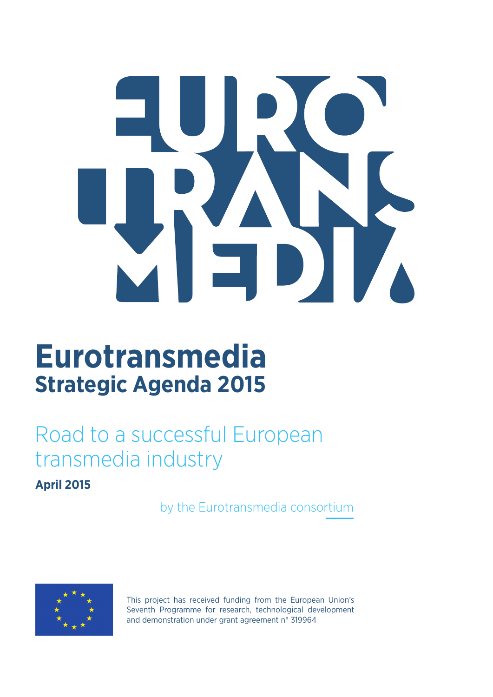

# **Eurotransmedia Strategic Agenda 2015**

# Road to a successful European transmedia industry

#### **April 2015**

by the Eurotransmedia consortium



This project has received funding from the European Union's Seventh Programme for research, technological development and demonstration under grant agreement n° 319964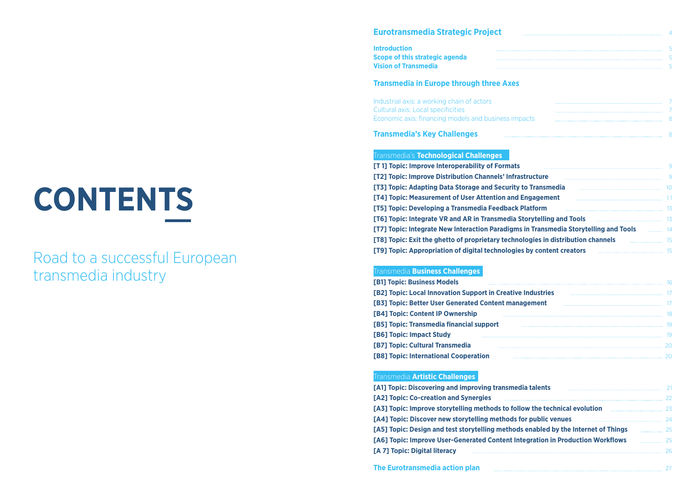#### **Eurotransmedia Strategic Project**

Industrial axis: a working chain of actors Cultural axis: Local specificities Economic axis: financing models and business impact

#### **Transmedia in Europe through three Axes**

#### **Transmedia's Key Challenges**

#### Transmedia's **Technological Challenges**

**[T 1] Topic: Improve Interoperability of Formats** [T2] Topic: Improve Distribution Channels' Infrastr **[T3] Topic: Adapting Data Storage and Security to [T4] Topic: Measurement of User Attention and Engagement [T5] Topic: Developing a Transmedia Feedback Plate [T6] Topic: Integrate VR and AR in Transmedia Sto [T7] Topic: Integrate New Interaction Paradigms in [T8] Topic: Exit the ghetto of proprietary technologies in distribution channels [T9] Topic: Appropriation of digital technologies by content creators**

[A1] Topic: Discovering and improving transmedia **[A2] Topic: Co-creation and Synergies** [A3] Topic: Improve storytelling methods to follow [A4] Topic: Discover new storytelling methods for **[A5] Topic: Design and test storytelling methods**  $e$ **[A6] Topic: Improve User-Generated Content Integration In Production In Production In Production In Production In Production In Production In Production In Production In Production In Production In Production In Productio [A 7] Topic: Digital literacy**

| Eurotransmedia Strategic Project |  |  |
|----------------------------------|--|--|
| <b>Introduction</b>              |  |  |
| Scope of this strategic agenda   |  |  |
| <b>Vision of Transmedia</b>      |  |  |

#### Transmedia **Business Challenges**

#### Transmedia **Artistic Challenges**

| [B1] Topic: Business Models                                 | 16 |
|-------------------------------------------------------------|----|
| [B2] Topic: Local Innovation Support in Creative Industries |    |
| [B3] Topic: Better User Generated Content management        |    |
| [B4] Topic: Content IP Ownership                            | 18 |
| [B5] Topic: Transmedia financial support                    | 19 |
| [B6] Topic: Impact Study                                    |    |
| [B7] Topic: Cultural Transmedia                             | 2Ω |
| [B8] Topic: International Cooperation                       | 2Ω |

**The Eurotransmedia action plan**

# **CONTENTS**

## Road to a successful European transmedia industry

|                                       | 9  |
|---------------------------------------|----|
| ructure                               | 9  |
| <b>Transmedia</b>                     | 10 |
| <b>ngagement</b>                      | 11 |
| atform                                | 13 |
| <b>orytelling and Tools</b>           | 13 |
| n Transmedia Storytelling and Tools   | 14 |
| <b>pgies in distribution channels</b> | 15 |
| by content creators                   | 15 |

| <b>talents</b>                              |    |
|---------------------------------------------|----|
|                                             | 22 |
| w the technical evolution _________________ | 23 |
| public venues                               | 24 |
| enabled by the Internet of Things           | 25 |
| gration in Production Workflows             | 25 |
|                                             | 26 |
|                                             |    |
|                                             |    |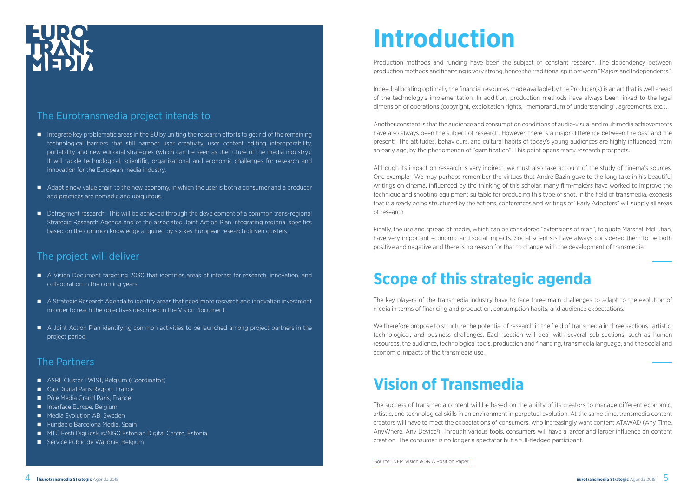# EURO<br>URANA

#### The Eurotransmedia project intends to

- $\blacksquare$  Integrate key problematic areas in the EU by uniting the research efforts to get rid of the remaining technological barriers that still hamper user creativity, user content editing interoperability, portability and new editorial strategies (which can be seen as the future of the media industry). It will tackle technological, scientific, organisational and economic challenges for research and innovation for the European media industry.
- Adapt a new value chain to the new economy, in which the user is both a consumer and a producer and practices are nomadic and ubiquitous.
- **n** Defragment research: This will be achieved through the development of a common trans-regional Strategic Research Agenda and of the associated Joint Action Plan integrating regional specifics based on the common knowledge acquired by six key European research-driven clusters.

#### The project will deliver

- n A Vision Document targeting 2030 that identifies areas of interest for research, innovation, and collaboration in the coming years.
- n A Strategic Research Agenda to identify areas that need more research and innovation investment in order to reach the objectives described in the Vision Document.
- A Joint Action Plan identifying common activities to be launched among project partners in the project period.

#### The Partners

- ASBL Cluster TWIST, Belgium (Coordinator)
- Cap Digital Paris Region, France
- Pôle Media Grand Paris, France
- nterface Europe, Belgium
- **n** Media Evolution AB, Sweden
- Fundacio Barcelona Media, Spain
- MTÜ Eesti Digikeskus/NGO Estonian Digital Centre, Estonia
- Service Public de Wallonie, Belgium

# **Introduction**

Production methods and funding have been the subject of constant research. The dependency between production methods and financing is very strong, hence the traditional split between "Majors and Independents".

We therefore propose to structure the potential of research in the field of transmedia in three sections: artistic, technological, and business challenges. Each section will deal with several sub-sections, such as human resources, the audience, technological tools, production and financing, transmedia language, and the social and economic impacts of the transmedia use.

Indeed, allocating optimally the financial resources made available by the Producer(s) is an art that is well ahead of the technology's implementation. In addition, production methods have always been linked to the legal dimension of operations (copyright, exploitation rights, "memorandum of understanding", agreements, etc.).

Another constant is that the audience and consumption conditions of audio-visual and multimedia achievements have also always been the subject of research. However, there is a major difference between the past and the present: The attitudes, behaviours, and cultural habits of today's young audiences are highly influenced, from an early age, by the phenomenon of "gamification". This point opens many research prospects.

Although its impact on research is very indirect, we must also take account of the study of cinema's sources. One example: We may perhaps remember the virtues that André Bazin gave to the long take in his beautiful writings on cinema. Influenced by the thinking of this scholar, many film-makers have worked to improve the technique and shooting equipment suitable for producing this type of shot. In the field of transmedia, exegesis that is already being structured by the actions, conferences and writings of "Early Adopters" will supply all areas of research.

Finally, the use and spread of media, which can be considered "extensions of man", to quote Marshall McLuhan, have very important economic and social impacts. Social scientists have always considered them to be both positive and negative and there is no reason for that to change with the development of transmedia.

# **Scope of this strategic agenda**

The key players of the transmedia industry have to face three main challenges to adapt to the evolution of media in terms of financing and production, consumption habits, and audience expectations.

# **Vision of Transmedia**

The success of transmedia content will be based on the ability of its creators to manage different economic, artistic, and technological skills in an environment in perpetual evolution. At the same time, transmedia content creators will have to meet the expectations of consumers, who increasingly want content ATAWAD (Any Time, AnyWhere, Any Device<sup>1</sup>). Through various tools, consumers will have a larger and larger influence on content creation. The consumer is no longer a spectator but a full-fledged participant.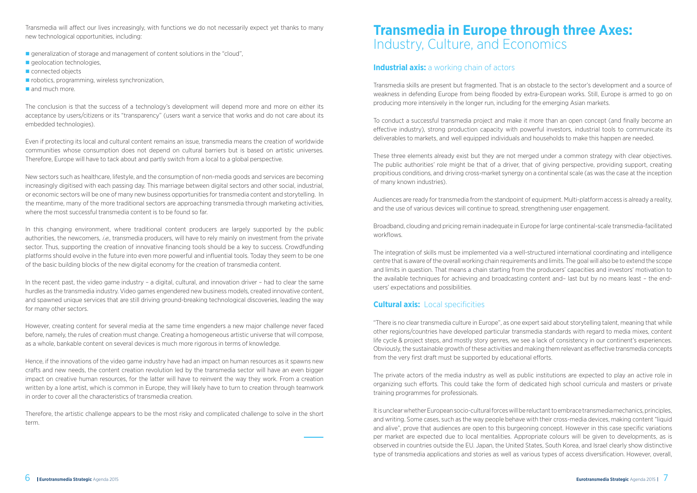Transmedia will affect our lives increasingly, with functions we do not necessarily expect yet thanks to many new technological opportunities, including:

- **n** generalization of storage and management of content solutions in the "cloud",
- $\blacksquare$  geolocation technologies,
- $\blacksquare$  connected objects
- $\blacksquare$  robotics, programming, wireless synchronization,
- $\blacksquare$  and much more.

The conclusion is that the success of a technology's development will depend more and more on either its acceptance by users/citizens or its "transparency" (users want a service that works and do not care about its embedded technologies).

Even if protecting its local and cultural content remains an issue, transmedia means the creation of worldwide communities whose consumption does not depend on cultural barriers but is based on artistic universes. Therefore, Europe will have to tack about and partly switch from a local to a global perspective.

New sectors such as healthcare, lifestyle, and the consumption of non-media goods and services are becoming increasingly digitised with each passing day. This marriage between digital sectors and other social, industrial, or economic sectors will be one of many new business opportunities for transmedia content and storytelling. In the meantime, many of the more traditional sectors are approaching transmedia through marketing activities, where the most successful transmedia content is to be found so far.

In this changing environment, where traditional content producers are largely supported by the public authorities, the newcomers, i.e., transmedia producers, will have to rely mainly on investment from the private sector. Thus, supporting the creation of innovative financing tools should be a key to success. Crowdfunding platforms should evolve in the future into even more powerful and influential tools. Today they seem to be one of the basic building blocks of the new digital economy for the creation of transmedia content.

In the recent past, the video game industry – a digital, cultural, and innovation driver – had to clear the same hurdles as the transmedia industry. Video games engendered new business models, created innovative content, and spawned unique services that are still driving ground-breaking technological discoveries, leading the way for many other sectors.

However, creating content for several media at the same time engenders a new major challenge never faced before, namely, the rules of creation must change. Creating a homogeneous artistic universe that will compose, as a whole, bankable content on several devices is much more rigorous in terms of knowledge.

Hence, if the innovations of the video game industry have had an impact on human resources as it spawns new crafts and new needs, the content creation revolution led by the transmedia sector will have an even bigger impact on creative human resources, for the latter will have to reinvent the way they work. From a creation written by a lone artist, which is common in Europe, they will likely have to turn to creation through teamwork in order to cover all the characteristics of transmedia creation.

Therefore, the artistic challenge appears to be the most risky and complicated challenge to solve in the short term.

### **Transmedia in Europe through three Axes:** Industry, Culture, and Economics

#### **Industrial axis:** a working chain of actors

Transmedia skills are present but fragmented. That is an obstacle to the sector's development and a source of weakness in defending Europe from being flooded by extra-European works. Still, Europe is armed to go on producing more intensively in the longer run, including for the emerging Asian markets.

To conduct a successful transmedia project and make it more than an open concept (and finally become an effective industry), strong production capacity with powerful investors, industrial tools to communicate its deliverables to markets, and well equipped individuals and households to make this happen are needed.

These three elements already exist but they are not merged under a common strategy with clear objectives. The public authorities' role might be that of a driver, that of giving perspective, providing support, creating propitious conditions, and driving cross-market synergy on a continental scale (as was the case at the inception of many known industries).

Audiences are ready for transmedia from the standpoint of equipment. Multi-platform access is already a reality, and the use of various devices will continue to spread, strengthening user engagement.

Broadband, clouding and pricing remain inadequate in Europe for large continental-scale transmedia-facilitated workflows.

The integration of skills must be implemented via a well-structured international coordinating and intelligence centre that is aware of the overall working chain requirements and limits. The goal will also be to extend the scope and limits in question. That means a chain starting from the producers' capacities and investors' motivation to the available techniques for achieving and broadcasting content and– last but by no means least – the endusers' expectations and possibilities.

#### **Cultural axis:** Local specificities

"There is no clear transmedia culture in Europe", as one expert said about storytelling talent, meaning that while other regions/countries have developed particular transmedia standards with regard to media mixes, content life cycle & project steps, and mostly story genres, we see a lack of consistency in our continent's experiences. Obviously, the sustainable growth of these activities and making them relevant as effective transmedia concepts from the very first draft must be supported by educational efforts.

The private actors of the media industry as well as public institutions are expected to play an active role in organizing such efforts. This could take the form of dedicated high school curricula and masters or private training programmes for professionals.

It is unclear whether European socio-cultural forces will be reluctant to embrace transmedia mechanics, principles, and writing. Some cases, such as the way people behave with their cross-media devices, making content "liquid and alive", prove that audiences are open to this burgeoning concept. However in this case specific variations per market are expected due to local mentalities. Appropriate colours will be given to developments, as is observed in countries outside the EU. Japan, the United States, South Korea, and Israel clearly show distinctive type of transmedia applications and stories as well as various types of access diversification. However, overall,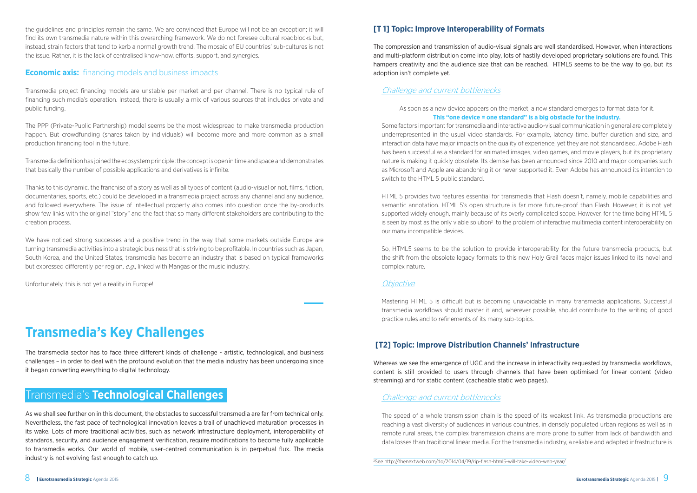the guidelines and principles remain the same. We are convinced that Europe will not be an exception; it will find its own transmedia nature within this overarching framework. We do not foresee cultural roadblocks but, instead, strain factors that tend to kerb a normal growth trend. The mosaic of EU countries' sub-cultures is not the issue. Rather, it is the lack of centralised know-how, efforts, support, and synergies.

#### **Economic axis:** financing models and business impacts

Transmedia project financing models are unstable per market and per channel. There is no typical rule of financing such media's operation. Instead, there is usually a mix of various sources that includes private and public funding.

The PPP (Private-Public Partnership) model seems be the most widespread to make transmedia production happen. But crowdfunding (shares taken by individuals) will become more and more common as a small production financing tool in the future.

We have noticed strong successes and a positive trend in the way that some markets outside Europe are turning transmedia activities into a strategic business that is striving to be profitable. In countries such as Japan, South Korea, and the United States, transmedia has become an industry that is based on typical frameworks but expressed differently per region, e.g., linked with Mangas or the music industry.

Transmedia definition has joined the ecosystem principle: the concept is open in time and space and demonstrates that basically the number of possible applications and derivatives is infinite.

Thanks to this dynamic, the franchise of a story as well as all types of content (audio-visual or not, films, fiction, documentaries, sports, etc.) could be developed in a transmedia project across any channel and any audience, and followed everywhere. The issue of intellectual property also comes into question once the by-products show few links with the original "story" and the fact that so many different stakeholders are contributing to the creation process.

Unfortunately, this is not yet a reality in Europe!

### **Transmedia's Key Challenges**

The transmedia sector has to face three different kinds of challenge - artistic, technological, and business challenges – in order to deal with the profound evolution that the media industry has been undergoing since it began converting everything to digital technology.

#### Transmedia's **Technological Challenges**

As we shall see further on in this document, the obstacles to successful transmedia are far from technical only. Nevertheless, the fast pace of technological innovation leaves a trail of unachieved maturation processes in its wake. Lots of more traditional activities, such as network infrastructure deployment, interoperability of standards, security, and audience engagement verification, require modifications to become fully applicable to transmedia works. Our world of mobile, user-centred communication is in perpetual flux. The media industry is not evolving fast enough to catch up.

Whereas we see the emergence of UGC and the increase in interactivity requested by transmedia workflows, content is still provided to users through channels that have been optimised for linear content (video streaming) and for static content (cacheable static web pages).

#### **[T 1] Topic: Improve Interoperability of Formats**

The compression and transmission of audio-visual signals are well standardised. However, when interactions and multi-platform distribution come into play, lots of hastily developed proprietary solutions are found. This hampers creativity and the audience size that can be reached. HTML5 seems to be the way to go, but its adoption isn't complete yet.

#### Challenge and current bottlenecks

As soon as a new device appears on the market, a new standard emerges to format data for it. **This "one device = one standard" is a big obstacle for the industry.**

Some factors important for transmedia and interactive audio-visual communication in general are completely underrepresented in the usual video standards. For example, latency time, buffer duration and size, and interaction data have major impacts on the quality of experience, yet they are not standardised. Adobe Flash has been successful as a standard for animated images, video games, and movie players, but its proprietary nature is making it quickly obsolete. Its demise has been announced since 2010 and major companies such as Microsoft and Apple are abandoning it or never supported it. Even Adobe has announced its intention to switch to the HTML 5 public standard.

HTML 5 provides two features essential for transmedia that Flash doesn't, namely, mobile capabilities and semantic annotation. HTML 5's open structure is far more future-proof than Flash. However, it is not yet supported widely enough, mainly because of its overly complicated scope. However, for the time being HTML 5 is seen by most as the only viable solution<sup>2</sup> to the problem of interactive multimedia content interoperability on our many incompatible devices.

So, HTML5 seems to be the solution to provide interoperability for the future transmedia products, but the shift from the obsolete legacy formats to this new Holy Grail faces major issues linked to its novel and complex nature.

#### **Objective**

Mastering HTML 5 is difficult but is becoming unavoidable in many transmedia applications. Successful transmedia workflows should master it and, wherever possible, should contribute to the writing of good practice rules and to refinements of its many sub-topics.

#### **[T2] Topic: Improve Distribution Channels' Infrastructure**

#### Challenge and current bottlenecks

The speed of a whole transmission chain is the speed of its weakest link. As transmedia productions are reaching a vast diversity of audiences in various countries, in densely populated urban regions as well as in remote rural areas, the complex transmission chains are more prone to suffer from lack of bandwidth and data losses than traditional linear media. For the transmedia industry, a reliable and adapted infrastructure is

2 See http://thenextweb.com/dd/2014/04/19/rip-flash-html5-will-take-video-web-year/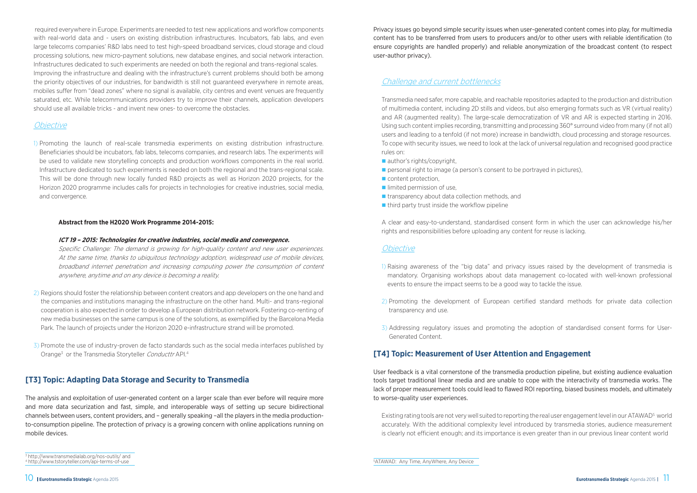required everywhere in Europe. Experiments are needed to test new applications and workflow components with real-world data and - users on existing distribution infrastructures. Incubators, fab labs, and even large telecoms companies' R&D labs need to test high-speed broadband services, cloud storage and cloud processing solutions, new micro-payment solutions, new database engines, and social network interaction. Infrastructures dedicated to such experiments are needed on both the regional and trans-regional scales. Improving the infrastructure and dealing with the infrastructure's current problems should both be among the priority objectives of our industries, for bandwidth is still not guaranteed everywhere in remote areas, mobiles suffer from "dead zones" where no signal is available, city centres and event venues are frequently saturated, etc. While telecommunications providers try to improve their channels, application developers should use all available tricks - and invent new ones- to overcome the obstacles.

Specific Challenge: The demand is growing for high-quality content and new user experiences. At the same time, thanks to ubiquitous technology adoption, widespread use of mobile devices, broadband internet penetration and increasing computing power the consumption of content anywhere, anytime and on any device is becoming a reality.

- 2) Regions should foster the relationship between content creators and app developers on the one hand and the companies and institutions managing the infrastructure on the other hand. Multi- and trans-regional cooperation is also expected in order to develop a European distribution network. Fostering co-renting of new media businesses on the same campus is one of the solutions, as exemplified by the Barcelona Media Park. The launch of projects under the Horizon 2020 e-infrastructure strand will be promoted.
- 3) Promote the use of industry-proven de facto standards such as the social media interfaces published by Orange<sup>3</sup> or the Transmedia Storyteller Conducttr API.<sup>4</sup>

#### Objective

1) Promoting the launch of real-scale transmedia experiments on existing distribution infrastructure. Beneficiaries should be incubators, fab labs, telecoms companies, and research labs. The experiments will be used to validate new storytelling concepts and production workflows components in the real world. Infrastructure dedicated to such experiments is needed on both the regional and the trans-regional scale. This will be done through new locally funded R&D projects as well as Horizon 2020 projects, for the Horizon 2020 programme includes calls for projects in technologies for creative industries, social media, and convergence.

#### **Abstract from the H2020 Work Programme 2014-2015:**

#### **ICT 19 – 2015: Technologies for creative industries, social media and convergence.**

#### **[T3] Topic: Adapting Data Storage and Security to Transmedia**

Existing rating tools are not very well suited to reporting the real user engagement level in our ATAWAD<sup>5</sup> world accurately. With the additional complexity level introduced by transmedia stories, audience measurement is clearly not efficient enough; and its importance is even greater than in our previous linear content world

The analysis and exploitation of user-generated content on a larger scale than ever before will require more and more data securization and fast, simple, and interoperable ways of setting up secure bidirectional channels between users, content providers, and – generally speaking –all the players in the media productionto-consumption pipeline. The protection of privacy is a growing concern with online applications running on mobile devices.

Privacy issues go beyond simple security issues when user-generated content comes into play, for multimedia content has to be transferred from users to producers and/or to other users with reliable identification (to ensure copyrights are handled properly) and reliable anonymization of the broadcast content (to respect user-author privacy).

#### Challenge and current bottlenecks

Transmedia need safer, more capable, and reachable repositories adapted to the production and distribution of multimedia content, including 2D stills and videos, but also emerging formats such as VR (virtual reality) and AR (augmented reality). The large-scale democratization of VR and AR is expected starting in 2016. Using such content implies recording, transmitting and processing 360° surround video from many (if not all) users and leading to a tenfold (if not more) increase in bandwidth, cloud processing and storage resources. To cope with security issues, we need to look at the lack of universal regulation and recognised good practice rules on:

- $\blacksquare$  author's rights/copyright,
- **n** personal right to image (a person's consent to be portrayed in pictures),
- $\blacksquare$  content protection,
- $\blacksquare$  limited permission of use,
- $\blacksquare$  transparency about data collection methods, and
- $\blacksquare$  third party trust inside the workflow pipeline

A clear and easy-to-understand, standardised consent form in which the user can acknowledge his/her rights and responsibilities before uploading any content for reuse is lacking.

#### **Objective**

1) Raising awareness of the "big data" and privacy issues raised by the development of transmedia is mandatory. Organising workshops about data management co-located with well-known professional

- events to ensure the impact seems to be a good way to tackle the issue.
- 2) Promoting the development of European certified standard methods for private data collection transparency and use.
- 3) Addressing regulatory issues and promoting the adoption of standardised consent forms for User-Generated Content.

#### **[T4] Topic: Measurement of User Attention and Engagement**

User feedback is a vital cornerstone of the transmedia production pipeline, but existing audience evaluation tools target traditional linear media and are unable to cope with the interactivity of transmedia works. The lack of proper measurement tools could lead to flawed ROI reporting, biased business models, and ultimately to worse-quality user experiences.

<sup>3</sup> http://www.transmedialab.org/nos-outils/ and 4 http://www.tstoryteller.com/api-terms-of-use <sup>5</sup>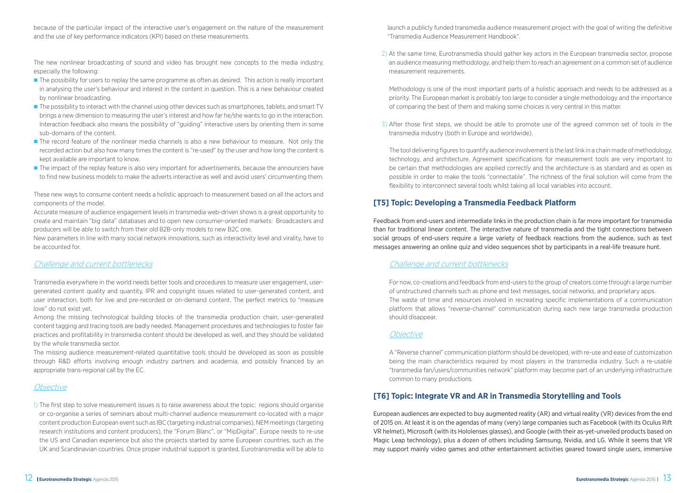because of the particular impact of the interactive user's engagement on the nature of the measurement and the use of key performance indicators (KPI) based on these measurements.

The new nonlinear broadcasting of sound and video has brought new concepts to the media industry, especially the following:

- **n** The possibility for users to replay the same programme as often as desired. This action is really important in analysing the user's behaviour and interest in the content in question. This is a new behaviour created by nonlinear broadcasting.
- n The possibility to interact with the channel using other devices such as smartphones, tablets, and smart TV brings a new dimension to measuring the user's interest and how far he/she wants to go in the interaction. Interaction feedback also means the possibility of "guiding" interactive users by orienting them in some sub-domains of the content.
- **n** The record feature of the nonlinear media channels is also a new behaviour to measure. Not only the recorded action but also how many times the content is "re-used" by the user and how long the content is kept available are important to know.
- The impact of the replay feature is also very important for advertisements, because the announcers have to find new business models to make the adverts interactive as well and avoid users' circumventing them.

These new ways to consume content needs a holistic approach to measurement based on all the actors and components of the model.

Accurate measure of audience engagement levels in transmedia web-driven shows is a great opportunity to create and maintain "big data" databases and to open new consumer-oriented markets: Broadcasters and producers will be able to switch from their old B2B-only models to new B2C one.

New parameters in line with many social network innovations, such as interactivity level and virality, have to be accounted for.

#### Challenge and current bottlenecks

Transmedia everywhere in the world needs better tools and procedures to measure user engagement, usergenerated content quality and quantity, IPR and copyright issues related to user-generated content, and user interaction, both for live and pre-recorded or on-demand content. The perfect metrics to "measure love" do not exist yet.

Among the missing technological building blocks of the transmedia production chain, user-generated content tagging and tracing tools are badly needed. Management procedures and technologies to foster fair practices and profitability in transmedia content should be developed as well, and they should be validated by the whole transmedia sector.

The missing audience measurement-related quantitative tools should be developed as soon as possible through R&D efforts involving enough industry partners and academia, and possibly financed by an appropriate trans-regional call by the EC.

#### **Objective**

1) The first step to solve measurement issues is to raise awareness about the topic: regions should organise or co-organise a series of seminars about multi-channel audience measurement co-located with a major content production European event such as IBC (targeting industrial companies), NEM meetings (targeting research institutions and content producers), the "Forum Blanc", or "MipDigital". Europe needs to re-use the US and Canadian experience but also the projects started by some European countries, such as the UK and Scandinavian countries. Once proper industrial support is granted, Eurotransmedia will be able to launch a publicly funded transmedia audience measurement project with the goal of writing the definitive "Transmedia Audience Measurement Handbook".

2) At the same time, Eurotransmedia should gather key actors in the European transmedia sector, propose an audience measuring methodology, and help them to reach an agreement on a common set of audience

measurement requirements.

Methodology is one of the most important parts of a holistic approach and needs to be addressed as a priority. The European market is probably too large to consider a single methodology and the importance of comparing the best of them and making some choices is very central in this matter.

3) After those first steps, we should be able to promote use of the agreed common set of tools in the

transmedia industry (both in Europe and worldwide).

The tool delivering figures to quantify audience involvement is the last link in a chain made of methodology, technology, and architecture. Agreement specifications for measurement tools are very important to be certain that methodologies are applied correctly and the architecture is as standard and as open as possible in order to make the tools "connectable". The richness of the final solution will come from the flexibility to interconnect several tools whilst taking all local variables into account.

#### **[T5] Topic: Developing a Transmedia Feedback Platform**

Feedback from end-users and intermediate links in the production chain is far more important for transmedia than for traditional linear content. The interactive nature of transmedia and the tight connections between social groups of end-users require a large variety of feedback reactions from the audience, such as text messages answering an online quiz and video sequences shot by participants in a real-life treasure hunt.

#### Challenge and current bottlenecks

For now, co-creations and feedback from end-users to the group of creators come through a large number of unstructured channels such as phone and text messages, social networks, and proprietary apps. The waste of time and resources involved in recreating specific implementations of a communication platform that allows "reverse-channel" communication during each new large transmedia production should disappear.

#### **Objective**

A "Reverse channel" communication platform should be developed, with re-use and ease of customization being the main characteristics required by most players in the transmedia industry. Such a re-usable "transmedia fan/users/communities network" platform may become part of an underlying infrastructure common to many productions.

#### **[T6] Topic: Integrate VR and AR in Transmedia Storytelling and Tools**

European audiences are expected to buy augmented reality (AR) and virtual reality (VR) devices from the end of 2015 on. At least it is on the agendas of many (very) large companies such as Facebook (with its Oculus Rift VR helmet), Microsoft (with its Hololenses glasses), and Google (with their as-yet-unveiled products based on Magic Leap technology), plus a dozen of others including Samsung, Nvidia, and LG. While it seems that VR may support mainly video games and other entertainment activities geared toward single users, immersive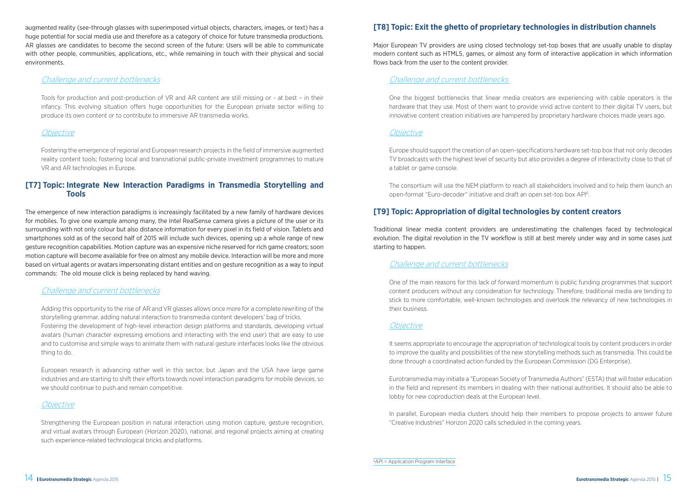augmented reality (see-through glasses with superimposed virtual objects, characters, images, or text) has a huge potential for social media use and therefore as a category of choice for future transmedia productions. AR glasses are candidates to become the second screen of the future: Users will be able to communicate with other people, communities, applications, etc., while remaining in touch with their physical and social environments.

#### Challenge and current bottlenecks

Tools for production and post-production of VR and AR content are still missing or - at best – in their infancy. This evolving situation offers huge opportunities for the European private sector willing to produce its own content or to contribute to immersive AR transmedia works.

#### **Objective**

Fostering the emergence of regional and European research projects in the field of immersive augmented reality content tools; fostering local and transnational public-private investment programmes to mature VR and AR technologies in Europe.

#### **[T7] Topic: Integrate New Interaction Paradigms in Transmedia Storytelling and Tools**

The emergence of new interaction paradigms is increasingly facilitated by a new family of hardware devices for mobiles. To give one example among many, the Intel RealSense camera gives a picture of the user or its surrounding with not only colour but also distance information for every pixel in its field of vision. Tablets and smartphones sold as of the second half of 2015 will include such devices, opening up a whole range of new gesture recognition capabilities. Motion capture was an expensive niche reserved for rich game creators; soon motion capture will become available for free on almost any mobile device. Interaction will be more and more based on virtual agents or avatars impersonating distant entities and on gesture recognition as a way to input commands: The old mouse click is being replaced by hand waving.

#### Challenge and current bottlenecks

Adding this opportunity to the rise of AR and VR glasses allows once more for a complete rewriting of the storytelling grammar, adding natural interaction to transmedia content developers' bag of tricks. Fostering the development of high-level interaction design platforms and standards, developing virtual avatars (human character expressing emotions and interacting with the end user) that are easy to use and to customise and simple ways to animate them with natural gesture interfaces looks like the obvious thing to do.

European research is advancing rather well in this sector, but Japan and the USA have large game industries and are starting to shift their efforts towards novel interaction paradigms for mobile devices, so we should continue to push and remain competitive.

#### *Objective*

Strengthening the European position in natural interaction using motion capture, gesture recognition, and virtual avatars through European (Horizon 2020), national, and regional projects aiming at creating such experience-related technological bricks and platforms.

#### **[T8] Topic: Exit the ghetto of proprietary technologies in distribution channels**

Major European TV providers are using closed technology set-top boxes that are usually unable to display modern content such as HTML5, games, or almost any form of interactive application in which information flows back from the user to the content provider.

#### Challenge and current bottlenecks

One the biggest bottlenecks that linear media creators are experiencing with cable operators is the hardware that they use. Most of them want to provide vivid active content to their digital TV users, but innovative content creation initiatives are hampered by proprietary hardware choices made years ago.

#### **Objective**

Europe should support the creation of an open-specifications hardware set-top box that not only decodes TV broadcasts with the highest level of security but also provides a degree of interactivity close to that of a tablet or game console.

The consortium will use the NEM platform to reach all stakeholders involved and to help them launch an open-format "Euro-decoder" initiative and draft an open set-top box API6 .

#### **[T9] Topic: Appropriation of digital technologies by content creators**

Traditional linear media content providers are underestimating the challenges faced by technological evolution. The digital revolution in the TV workflow is still at best merely under way and in some cases just starting to happen.

#### Challenge and current bottlenecks

One of the main reasons for this lack of forward momentum is public funding programmes that support content producers without any consideration for technology. Therefore, traditional media are tending to stick to more comfortable, well-known technologies and overlook the relevancy of new technologies in their business.

#### **Objective**

It seems appropriate to encourage the appropriation of technological tools by content producers in order to improve the quality and possibilities of the new storytelling methods such as transmedia. This could be done through a coordinated action funded by the European Commission (DG Enterprise).

Eurotransmedia may initiate a "European Society of Transmedia Authors" (ESTA) that will foster education in the field and represent its members in dealing with their national authorities. It should also be able to lobby for new coproduction deals at the European level.

In parallel, European media clusters should help their members to propose projects to answer future "Creative Industries" Horizon 2020 calls scheduled in the coming years.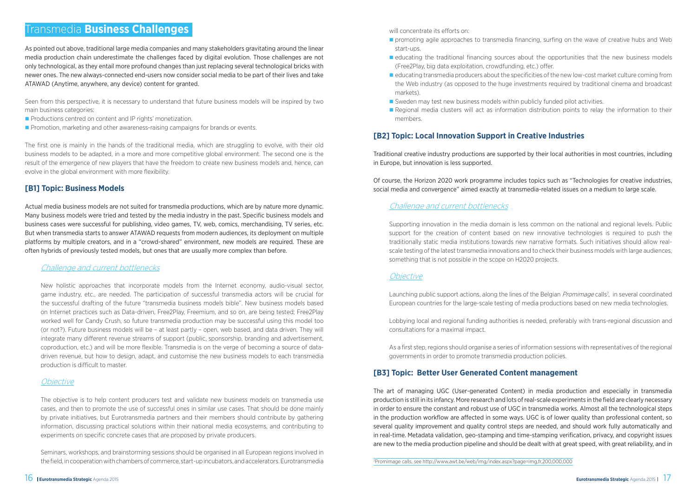**n** promoting agile approaches to transmedia financing, surfing on the wave of creative hubs and Web

#### Transmedia **Business Challenges**

As pointed out above, traditional large media companies and many stakeholders gravitating around the linear media production chain underestimate the challenges faced by digital evolution. Those challenges are not only technological, as they entail more profound changes than just replacing several technological bricks with newer ones. The new always-connected end-users now consider social media to be part of their lives and take ATAWAD (Anytime, anywhere, any device) content for granted.

Seen from this perspective, it is necessary to understand that future business models will be inspired by two main business categories:

- **Productions centred on content and IP rights' monetization.**
- **n** Promotion, marketing and other awareness-raising campaigns for brands or events.

The first one is mainly in the hands of the traditional media, which are struggling to evolve, with their old business models to be adapted, in a more and more competitive global environment. The second one is the result of the emergence of new players that have the freedom to create new business models and, hence, can evolve in the global environment with more flexibility.

#### **[B1] Topic: Business Models**

Actual media business models are not suited for transmedia productions, which are by nature more dynamic. Many business models were tried and tested by the media industry in the past. Specific business models and business cases were successful for publishing, video games, TV, web, comics, merchandising, TV series, etc. But when transmedia starts to answer ATAWAD requests from modern audiences, its deployment on multiple platforms by multiple creators, and in a "crowd-shared" environment, new models are required. These are often hybrids of previously tested models, but ones that are usually more complex than before.

#### Challenge and current bottlenecks

New holistic approaches that incorporate models from the Internet economy, audio-visual sector, game industry, etc., are needed. The participation of successful transmedia actors will be crucial for the successful drafting of the future "transmedia business models bible". New business models based on Internet practices such as Data-driven, Free2Play, Freemium, and so on, are being tested; Free2Play worked well for Candy Crush, so future transmedia production may be successful using this model too (or not?). Future business models will be – at least partly – open, web based, and data driven. They will integrate many different revenue streams of support (public, sponsorship, branding and advertisement, coproduction, etc.) and will be more flexible. Transmedia is on the verge of becoming a source of datadriven revenue, but how to design, adapt, and customise the new business models to each transmedia production is difficult to master.

#### **Objective**

Launching public support actions, along the lines of the Belgian *Promimage* calls<sup>7</sup>, in several coordinated European countries for the large-scale testing of media productions based on new media technologies.

The objective is to help content producers test and validate new business models on transmedia use cases, and then to promote the use of successful ones in similar use cases. That should be done mainly by private initiatives, but Eurotransmedia partners and their members should contribute by gathering information, discussing practical solutions within their national media ecosystems, and contributing to experiments on specific concrete cases that are proposed by private producers.

Seminars, workshops, and brainstorming sessions should be organised in all European regions involved in the field, in cooperation with chambers of commerce, start-up incubators, and accelerators. Eurotransmedia

will concentrate its efforts on:

- start-ups.
- **n** educating the traditional financing sources about the opportunities that the new business models (Free2Play, big data exploitation, crowdfunding, etc.) offer.
- $\blacksquare$  educating transmedia producers about the specificities of the new low-cost market culture coming from the Web industry (as opposed to the huge investments required by traditional cinema and broadcast markets).
- $\blacksquare$  Sweden may test new business models within publicly funded pilot activities.
- n Regional media clusters will act as information distribution points to relay the information to their members.

#### **[B2] Topic: Local Innovation Support in Creative Industries**

Traditional creative industry productions are supported by their local authorities in most countries, including in Europe, but innovation is less supported.

Of course, the Horizon 2020 work programme includes topics such as "Technologies for creative industries, social media and convergence" aimed exactly at transmedia-related issues on a medium to large scale.

#### Challenge and current bottlenecks

Supporting innovation in the media domain is less common on the national and regional levels. Public support for the creation of content based on new innovative technologies is required to push the traditionally static media institutions towards new narrative formats. Such initiatives should allow realscale testing of the latest transmedia innovations and to check their business models with large audiences, something that is not possible in the scope on H2020 projects.

#### **Objective**

Lobbying local and regional funding authorities is needed, preferably with trans-regional discussion and consultations for a maximal impact.

As a first step, regions should organise a series of information sessions with representatives of the regional governments in order to promote transmedia production policies.

#### **[B3] Topic: Better User Generated Content management**

The art of managing UGC (User-generated Content) in media production and especially in transmedia production is still in its infancy. More research and lots of real-scale experiments in the field are clearly necessary in order to ensure the constant and robust use of UGC in transmedia works. Almost all the technological steps in the production workflow are affected in some ways. UGC is of lower quality than professional content, so several quality improvement and quality control steps are needed, and should work fully automatically and in real-time. Metadata validation, geo-stamping and time-stamping verification, privacy, and copyright issues are new to the media production pipeline and should be dealt with at great speed, with great reliability, and in

7 Promimage calls, see http://www.awt.be/web/img/index.aspx?page=img,fr,200,000,000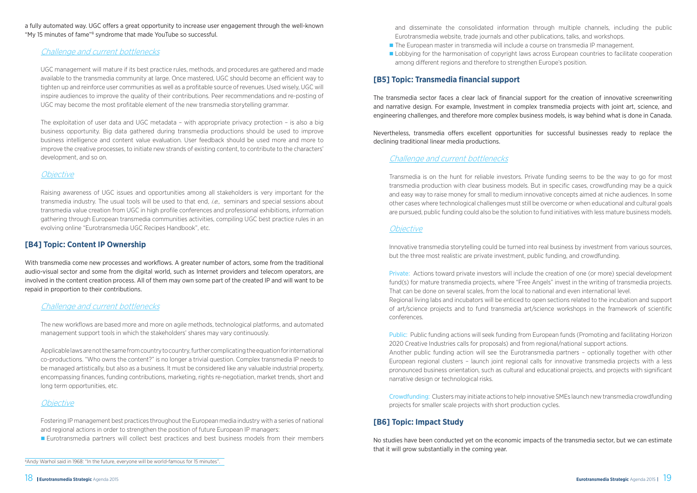a fully automated way. UGC offers a great opportunity to increase user engagement through the well-known "My 15 minutes of fame"<sup>8</sup> syndrome that made YouTube so successful.

#### Challenge and current bottlenecks

UGC management will mature if its best practice rules, methods, and procedures are gathered and made available to the transmedia community at large. Once mastered, UGC should become an efficient way to tighten up and reinforce user communities as well as a profitable source of revenues. Used wisely, UGC will inspire audiences to improve the quality of their contributions. Peer recommendations and re-posting of UGC may become the most profitable element of the new transmedia storytelling grammar.

The exploitation of user data and UGC metadata – with appropriate privacy protection – is also a big business opportunity. Big data gathered during transmedia productions should be used to improve business intelligence and content value evaluation. User feedback should be used more and more to improve the creative processes, to initiate new strands of existing content, to contribute to the characters' development, and so on.

#### **Objective**

Raising awareness of UGC issues and opportunities among all stakeholders is very important for the transmedia industry. The usual tools will be used to that end, *i.e.*, seminars and special sessions about transmedia value creation from UGC in high profile conferences and professional exhibitions, information gathering through European transmedia communities activities, compiling UGC best practice rules in an evolving online "Eurotransmedia UGC Recipes Handbook", etc.

#### **[B4] Topic: Content IP Ownership**

- The European master in transmedia will include a course on transmedia IP management.
- **n** Lobbying for the harmonisation of copyright laws across European countries to facilitate cooperation among different regions and therefore to strengthen Europe's position.

With transmedia come new processes and workflows. A greater number of actors, some from the traditional audio-visual sector and some from the digital world, such as Internet providers and telecom operators, are involved in the content creation process. All of them may own some part of the created IP and will want to be repaid in proportion to their contributions.

#### Challenge and current bottlenecks

The new workflows are based more and more on agile methods, technological platforms, and automated management support tools in which the stakeholders' shares may vary continuously.

Applicable laws are not the same from country to country, further complicating the equation for international co-productions. "Who owns the content?" is no longer a trivial question. Complex transmedia IP needs to be managed artistically, but also as a business. It must be considered like any valuable industrial property, encompassing finances, funding contributions, marketing, rights re-negotiation, market trends, short and long term opportunities, etc.

#### **Objective**

Fostering IP management best practices throughout the European media industry with a series of national and regional actions in order to strengthen the position of future European IP managers:

Eurotransmedia partners will collect best practices and best business models from their members

8 Andy Warhol said in 1968: "In the future, everyone will be world-famous for 15 minutes".

and disseminate the consolidated information through multiple channels, including the public

#### **[B5] Topic: Transmedia financial support**

The transmedia sector faces a clear lack of financial support for the creation of innovative screenwriting and narrative design. For example, Investment in complex transmedia projects with joint art, science, and engineering challenges, and therefore more complex business models, is way behind what is done in Canada.

Nevertheless, transmedia offers excellent opportunities for successful businesses ready to replace the declining traditional linear media productions.

#### Challenge and current bottlenecks

Transmedia is on the hunt for reliable investors. Private funding seems to be the way to go for most transmedia production with clear business models. But in specific cases, crowdfunding may be a quick and easy way to raise money for small to medium innovative concepts aimed at niche audiences. In some other cases where technological challenges must still be overcome or when educational and cultural goals are pursued, public funding could also be the solution to fund initiatives with less mature business models.

#### **Objective**

Innovative transmedia storytelling could be turned into real business by investment from various sources, but the three most realistic are private investment, public funding, and crowdfunding.

That can be done on several scales, from the local to national and even international level. conferences.

- Private: Actions toward private investors will include the creation of one (or more) special development fund(s) for mature transmedia projects, where "Free Angels" invest in the writing of transmedia projects.
- Regional living labs and incubators will be enticed to open sections related to the incubation and support of art/science projects and to fund transmedia art/science workshops in the framework of scientific
- Public: Public funding actions will seek funding from European funds (Promoting and facilitating Horizon
- Another public funding action will see the Eurotransmedia partners optionally together with other European regional clusters – launch joint regional calls for innovative transmedia projects with a less pronounced business orientation, such as cultural and educational projects, and projects with significant

2020 Creative Industries calls for proposals) and from regional/national support actions. narrative design or technological risks.

Crowdfunding: Clusters may initiate actions to help innovative SMEs launch new transmedia crowdfunding projects for smaller scale projects with short production cycles.

#### **[B6] Topic: Impact Study**

No studies have been conducted yet on the economic impacts of the transmedia sector, but we can estimate that it will grow substantially in the coming year.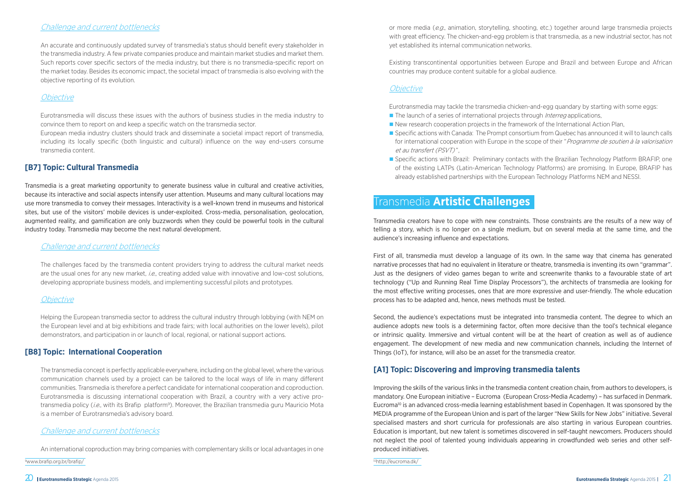#### Challenge and current bottlenecks

An accurate and continuously updated survey of transmedia's status should benefit every stakeholder in the transmedia industry. A few private companies produce and maintain market studies and market them. Such reports cover specific sectors of the media industry, but there is no transmedia-specific report on the market today. Besides its economic impact, the societal impact of transmedia is also evolving with the objective reporting of its evolution.

#### **Objective**

Eurotransmedia will discuss these issues with the authors of business studies in the media industry to convince them to report on and keep a specific watch on the transmedia sector.

European media industry clusters should track and disseminate a societal impact report of transmedia, including its locally specific (both linguistic and cultural) influence on the way end-users consume transmedia content.

#### **[B7] Topic: Cultural Transmedia**

Transmedia is a great marketing opportunity to generate business value in cultural and creative activities, because its interactive and social aspects intensify user attention. Museums and many cultural locations may use more transmedia to convey their messages. Interactivity is a well-known trend in museums and historical sites, but use of the visitors' mobile devices is under-exploited. Cross-media, personalisation, geolocation, augmented reality, and gamification are only buzzwords when they could be powerful tools in the cultural industry today. Transmedia may become the next natural development.

#### Challenge and current bottlenecks

The challenges faced by the transmedia content providers trying to address the cultural market needs are the usual ones for any new market, *i.e.*, creating added value with innovative and low-cost solutions, developing appropriate business models, and implementing successful pilots and prototypes.

#### **Objective**

■ Specific actions with Brazil: Preliminary contacts with the Brazilian Technology Platform BRAFIP, one of the existing LATPs (Latin-American Technology Platforms) are promising. In Europe, BRAFIP has

Helping the European transmedia sector to address the cultural industry through lobbying (with NEM on the European level and at big exhibitions and trade fairs; with local authorities on the lower levels), pilot demonstrators, and participation in or launch of local, regional, or national support actions.

- The launch of a series of international projects through *Interreg* applications,
- New research cooperation projects in the framework of the International Action Plan,
- Specific actions with Canada: The Prompt consortium from Quebec has announced it will to launch calls for international cooperation with Europe in the scope of their "*Programme de soutien à la valorisation* et au transfert (PSVT) ",
- already established partnerships with the European Technology Platforms NEM and NESSI.

#### **[B8] Topic: International Cooperation**

The transmedia concept is perfectly applicable everywhere, including on the global level, where the various communication channels used by a project can be tailored to the local ways of life in many different communities. Transmedia is therefore a perfect candidate for international cooperation and coproduction. Eurotransmedia is discussing international cooperation with Brazil, a country with a very active protransmedia policy (i.e., with its Brafip platform<sup>9</sup>). Moreover, the Brazilian transmedia guru Mauricio Mota is a member of Eurotransmedia's advisory board.

#### Challenge and current bottlenecks

An international coproduction may bring companies with complementary skills or local advantages in one

9 www.brafip.org.br/brafip/ 10http://eucroma.dk/

or more media (e.g., animation, storytelling, shooting, etc.) together around large transmedia projects with great efficiency. The chicken-and-egg problem is that transmedia, as a new industrial sector, has not yet established its internal communication networks.

Existing transcontinental opportunities between Europe and Brazil and between Europe and African countries may produce content suitable for a global audience.

#### **Objective**

Eurotransmedia may tackle the transmedia chicken-and-egg quandary by starting with some eggs:

#### Transmedia **Artistic Challenges**

Transmedia creators have to cope with new constraints. Those constraints are the results of a new way of telling a story, which is no longer on a single medium, but on several media at the same time, and the audience's increasing influence and expectations.

First of all, transmedia must develop a language of its own. In the same way that cinema has generated narrative processes that had no equivalent in literature or theatre, transmedia is inventing its own "grammar". Just as the designers of video games began to write and screenwrite thanks to a favourable state of art technology ("Up and Running Real Time Display Processors"), the architects of transmedia are looking for the most effective writing processes, ones that are more expressive and user-friendly. The whole education process has to be adapted and, hence, news methods must be tested.

Second, the audience's expectations must be integrated into transmedia content. The degree to which an audience adopts new tools is a determining factor, often more decisive than the tool's technical elegance or intrinsic quality. Immersive and virtual content will be at the heart of creation as well as of audience engagement. The development of new media and new communication channels, including the Internet of Things (IoT), for instance, will also be an asset for the transmedia creator.

#### **[A1] Topic: Discovering and improving transmedia talents**

Improving the skills of the various links in the transmedia content creation chain, from authors to developers, is mandatory. One European initiative – Eucroma (European Cross-Media Academy) – has surfaced in Denmark. Eucroma10 is an advanced cross-media learning establishment based in Copenhagen. It was sponsored by the MEDIA programme of the European Union and is part of the larger "New Skills for New Jobs" initiative. Several specialised masters and short curricula for professionals are also starting in various European countries. Education is important, but new talent is sometimes discovered in self-taught newcomers. Producers should not neglect the pool of talented young individuals appearing in crowdfunded web series and other selfproduced initiatives.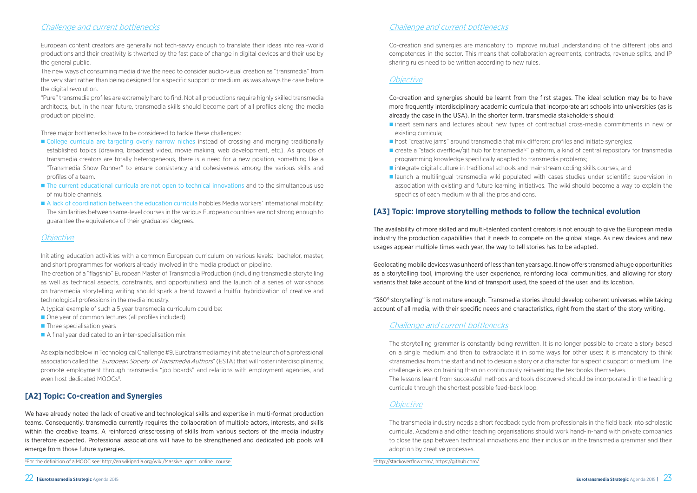**n** insert seminars and lectures about new types of contractual cross-media commitments in new or

■ create a "stack overflow/git hub for transmedia<sup>12</sup>" platform, a kind of central repository for transmedia

#### Challenge and current bottlenecks

European content creators are generally not tech-savvy enough to translate their ideas into real-world productions and their creativity is thwarted by the fast pace of change in digital devices and their use by the general public.

The new ways of consuming media drive the need to consider audio-visual creation as "transmedia" from the very start rather than being designed for a specific support or medium, as was always the case before the digital revolution.

"Pure" transmedia profiles are extremely hard to find. Not all productions require highly skilled transmedia architects, but, in the near future, transmedia skills should become part of all profiles along the media production pipeline.

- College curricula are targeting overly narrow niches instead of crossing and merging traditionally established topics (drawing, broadcast video, movie making, web development, etc.). As groups of transmedia creators are totally heterogeneous, there is a need for a new position, something like a "Transmedia Show Runner" to ensure consistency and cohesiveness among the various skills and profiles of a team.
- **n** The current educational curricula are not open to technical innovations and to the simultaneous use of multiple channels.
- n A lack of coordination between the education curricula hobbles Media workers' international mobility: The similarities between same-level courses in the various European countries are not strong enough to guarantee the equivalence of their graduates' degrees.

#### *Objective*

Three major bottlenecks have to be considered to tackle these challenges:

As explained below in Technological Challenge #9, Eurotransmedia may initiate the launch of a professional association called the "*European Society of Transmedia Authors*" (ESTA) that will foster interdisciplinarity, promote employment through transmedia "job boards" and relations with employment agencies, and even host dedicated MOOCs<sup>11</sup>.

Initiating education activities with a common European curriculum on various levels: bachelor, master, and short programmes for workers already involved in the media production pipeline.

The creation of a "flagship" European Master of Transmedia Production (including transmedia storytelling as well as technical aspects, constraints, and opportunities) and the launch of a series of workshops on transmedia storytelling writing should spark a trend toward a fruitful hybridization of creative and technological professions in the media industry.

A typical example of such a 5 year transmedia curriculum could be:

- One year of common lectures (all profiles included)
- $\blacksquare$  Three specialisation vears
- $\blacksquare$  A final year dedicated to an inter-specialisation mix

**n** launch a multilingual transmedia wiki populated with cases studies under scientific supervision in association with existing and future learning initiatives. The wiki should become a way to explain the



#### **[A2] Topic: Co-creation and Synergies**

We have already noted the lack of creative and technological skills and expertise in multi-format production teams. Consequently, transmedia currently requires the collaboration of multiple actors, interests, and skills within the creative teams. A reinforced crisscrossing of skills from various sectors of the media industry is therefore expected. Professional associations will have to be strengthened and dedicated job pools will emerge from those future synergies.

11For the definition of a MOOC see: http://en.wikipedia.org/wiki/Massive\_open\_online\_course 12http://stackoverflow.com/, https://github.com/

#### Challenge and current bottlenecks

Co-creation and synergies are mandatory to improve mutual understanding of the different jobs and competences in the sector. This means that collaboration agreements, contracts, revenue splits, and IP sharing rules need to be written according to new rules.

#### *Objective*

Co-creation and synergies should be learnt from the first stages. The ideal solution may be to have more frequently interdisciplinary academic curricula that incorporate art schools into universities (as is already the case in the USA). In the shorter term, transmedia stakeholders should:

- existing curricula;
- nost "creative jams" around transmedia that mix different profiles and initiate synergies;
- programming knowledge specifically adapted to transmedia problems;
- n integrate digital culture in traditional schools and mainstream coding skills courses; and
- specifics of each medium with all the pros and cons.

#### **[A3] Topic: Improve storytelling methods to follow the technical evolution**

The availability of more skilled and multi-talented content creators is not enough to give the European media industry the production capabilities that it needs to compete on the global stage. As new devices and new usages appear multiple times each year, the way to tell stories has to be adapted.

Geolocating mobile devices was unheard of less than ten years ago. It now offers transmedia huge opportunities as a storytelling tool, improving the user experience, reinforcing local communities, and allowing for story variants that take account of the kind of transport used, the speed of the user, and its location.

"360° storytelling" is not mature enough. Transmedia stories should develop coherent universes while taking account of all media, with their specific needs and characteristics, right from the start of the story writing.

#### Challenge and current bottlenecks

The storytelling grammar is constantly being rewritten. It is no longer possible to create a story based on a single medium and then to extrapolate it in some ways for other uses; it is mandatory to think «transmedia» from the start and not to design a story or a character for a specific support or medium. The challenge is less on training than on continuously reinventing the textbooks themselves. The lessons learnt from successful methods and tools discovered should be incorporated in the teaching curricula through the shortest possible feed-back loop.

#### **Objective**

The transmedia industry needs a short feedback cycle from professionals in the field back into scholastic curricula. Academia and other teaching organisations should work hand-in-hand with private companies to close the gap between technical innovations and their inclusion in the transmedia grammar and their adoption by creative processes.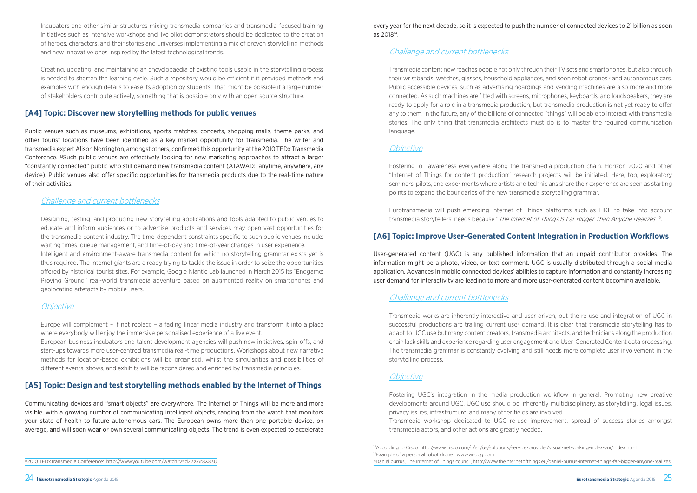

Incubators and other similar structures mixing transmedia companies and transmedia-focused training initiatives such as intensive workshops and live pilot demonstrators should be dedicated to the creation of heroes, characters, and their stories and universes implementing a mix of proven storytelling methods and new innovative ones inspired by the latest technological trends.

Creating, updating, and maintaining an encyclopaedia of existing tools usable in the storytelling process is needed to shorten the learning cycle. Such a repository would be efficient if it provided methods and examples with enough details to ease its adoption by students. That might be possible if a large number of stakeholders contribute actively, something that is possible only with an open source structure.

#### **[A4] Topic: Discover new storytelling methods for public venues**

Public venues such as museums, exhibitions, sports matches, concerts, shopping malls, theme parks, and other tourist locations have been identified as a key market opportunity for transmedia. The writer and transmedia expert Alison Norrington, amongst others, confirmed this opportunity at the 2010 TEDx Transmedia Conference. 13Such public venues are effectively looking for new marketing approaches to attract a larger "constantly connected" public who still demand new transmedia content (ATAWAD: anytime, anywhere, any device). Public venues also offer specific opportunities for transmedia products due to the real-time nature of their activities.

#### Challenge and current bottlenecks

Designing, testing, and producing new storytelling applications and tools adapted to public venues to educate and inform audiences or to advertise products and services may open vast opportunities for the transmedia content industry. The time-dependent constraints specific to such public venues include: waiting times, queue management, and time-of-day and time-of-year changes in user experience. Intelligent and environment-aware transmedia content for which no storytelling grammar exists yet is thus required. The Internet giants are already trying to tackle the issue in order to seize the opportunities offered by historical tourist sites. For example, Google Niantic Lab launched in March 2015 its "Endgame: Proving Ground" real-world transmedia adventure based on augmented reality on smartphones and geolocating artefacts by mobile users.

#### **Objective**

Europe will complement – if not replace – a fading linear media industry and transform it into a place where everybody will enjoy the immersive personalised experience of a live event.

Eurotransmedia will push emerging Internet of Things platforms such as FIRE to take into account transmedia storytellers' needs because "The Internet of Things Is Far Bigger Than Anyone Realizes"<sup>16</sup>.

European business incubators and talent development agencies will push new initiatives, spin-offs, and start-ups towards more user-centred transmedia real-time productions. Workshops about new narrative methods for location-based exhibitions will be organised, whilst the singularities and possibilities of different events, shows, and exhibits will be reconsidered and enriched by transmedia principles.

#### **[A5] Topic: Design and test storytelling methods enabled by the Internet of Things**

Communicating devices and "smart objects" are everywhere. The Internet of Things will be more and more visible, with a growing number of communicating intelligent objects, ranging from the watch that monitors your state of health to future autonomous cars. The European owns more than one portable device, on average, and will soon wear or own several communicating objects. The trend is even expected to accelerate every year for the next decade, so it is expected to push the number of connected devices to 21 billion as soon as 201814.

#### Challenge and current bottlenecks

Transmedia content now reaches people not only through their TV sets and smartphones, but also through their wristbands, watches, glasses, household appliances, and soon robot drones<sup>15</sup> and autonomous cars. Public accessible devices, such as advertising hoardings and vending machines are also more and more connected. As such machines are fitted with screens, microphones, keyboards, and loudspeakers, they are ready to apply for a role in a transmedia production; but transmedia production is not yet ready to offer any to them. In the future, any of the billions of connected "things" will be able to interact with transmedia stories. The only thing that transmedia architects must do is to master the required communication language.

#### **Objective**

Fostering IoT awareness everywhere along the transmedia production chain. Horizon 2020 and other "Internet of Things for content production" research projects will be initiated. Here, too, exploratory seminars, pilots, and experiments where artists and technicians share their experience are seen as starting points to expand the boundaries of the new transmedia storytelling grammar.

#### **[A6] Topic: Improve User-Generated Content Integration in Production Workflows**

User-generated content (UGC) is any published information that an unpaid contributor provides. The information might be a photo, video, or text comment. UGC is usually distributed through a social media application. Advances in mobile connected devices' abilities to capture information and constantly increasing user demand for interactivity are leading to more and more user-generated content becoming available.

#### Challenge and current bottlenecks

Transmedia works are inherently interactive and user driven, but the re-use and integration of UGC in successful productions are trailing current user demand. It is clear that transmedia storytelling has to adapt to UGC use but many content creators, transmedia architects, and technicians along the production chain lack skills and experience regarding user engagement and User-Generated Content data processing. The transmedia grammar is constantly evolving and still needs more complete user involvement in the storytelling process.

#### **Objective**

Fostering UGC's integration in the media production workflow in general. Promoting new creative developments around UGC. UGC use should be inherently multidisciplinary, as storytelling, legal issues, privacy issues, infrastructure, and many other fields are involved. Transmedia workshop dedicated to UGC re-use improvement, spread of success stories amongst transmedia actors, and other actions are greatly needed.

<sup>&</sup>lt;sup>14</sup>According to Cisco: http://www.cisco.com/c/en/us/solutions/service-provider/visual-networking-index-vni/index.html 15Example of a personal robot drone: www.airdog.com 16Daniel burrus, The Internet of Things council, http://www.theinternetofthings.eu/daniel-burrus-internet-things-far-bigger-anyone-realizes

<sup>132010</sup> TEDxTransmedia Conference: http://www.youtube.com/watch?v=dZ7XAr8X83U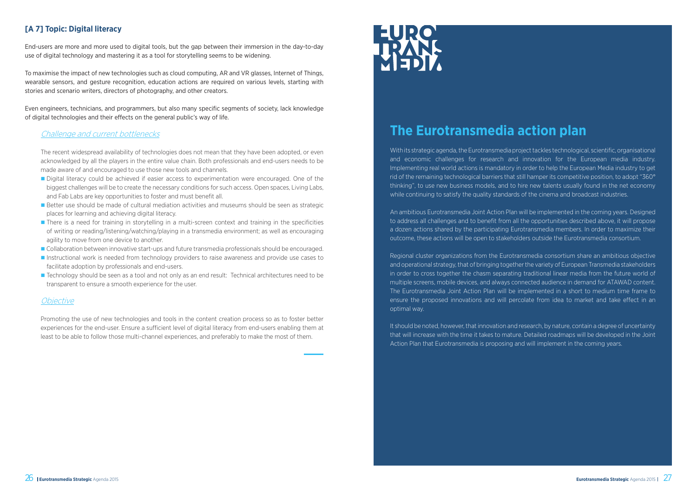

#### **[A 7] Topic: Digital literacy**

End-users are more and more used to digital tools, but the gap between their immersion in the day-to-day use of digital technology and mastering it as a tool for storytelling seems to be widening.

To maximise the impact of new technologies such as cloud computing, AR and VR glasses, Internet of Things, wearable sensors, and gesture recognition, education actions are required on various levels, starting with stories and scenario writers, directors of photography, and other creators.

Even engineers, technicians, and programmers, but also many specific segments of society, lack knowledge of digital technologies and their effects on the general public's way of life.

#### Challenge and current bottlenecks

The recent widespread availability of technologies does not mean that they have been adopted, or even acknowledged by all the players in the entire value chain. Both professionals and end-users needs to be made aware of and encouraged to use those new tools and channels.

- Digital literacy could be achieved if easier access to experimentation were encouraged. One of the biggest challenges will be to create the necessary conditions for such access. Open spaces, Living Labs, and Fab Labs are key opportunities to foster and must benefit all.
- **n** Better use should be made of cultural mediation activities and museums should be seen as strategic places for learning and achieving digital literacy.
- **n** There is a need for training in storytelling in a multi-screen context and training in the specificities of writing or reading/listening/watching/playing in a transmedia environment; as well as encouraging agility to move from one device to another.
- n Collaboration between innovative start-ups and future transmedia professionals should be encouraged.
- **n** Instructional work is needed from technology providers to raise awareness and provide use cases to facilitate adoption by professionals and end-users.
- Technology should be seen as a tool and not only as an end result: Technical architectures need to be transparent to ensure a smooth experience for the user.

#### **Objective**

Promoting the use of new technologies and tools in the content creation process so as to foster better experiences for the end-user. Ensure a sufficient level of digital literacy from end-users enabling them at least to be able to follow those multi-channel experiences, and preferably to make the most of them.

# EURO<br>HANK

### **The Eurotransmedia action plan**

With its strategic agenda, the Eurotransmedia project tackles technological, scientific, organisational and economic challenges for research and innovation for the European media industry. Implementing real world actions is mandatory in order to help the European Media industry to get rid of the remaining technological barriers that still hamper its competitive position, to adopt "360° thinking", to use new business models, and to hire new talents usually found in the net economy while continuing to satisfy the quality standards of the cinema and broadcast industries.

An ambitious Eurotransmedia Joint Action Plan will be implemented in the coming years. Designed to address all challenges and to benefit from all the opportunities described above, it will propose a dozen actions shared by the participating Eurotransmedia members. In order to maximize their outcome, these actions will be open to stakeholders outside the Eurotransmedia consortium.

Regional cluster organizations from the Eurotransmedia consortium share an ambitious objective and operational strategy, that of bringing together the variety of European Transmedia stakeholders in order to cross together the chasm separating traditional linear media from the future world of multiple screens, mobile devices, and always connected audience in demand for ATAWAD content. The Eurotransmedia Joint Action Plan will be implemented in a short to medium time frame to ensure the proposed innovations and will percolate from idea to market and take effect in an optimal way.

It should be noted, however, that innovation and research, by nature, contain a degree of uncertainty that will increase with the time it takes to mature. Detailed roadmaps will be developed in the Joint Action Plan that Eurotransmedia is proposing and will implement in the coming years.